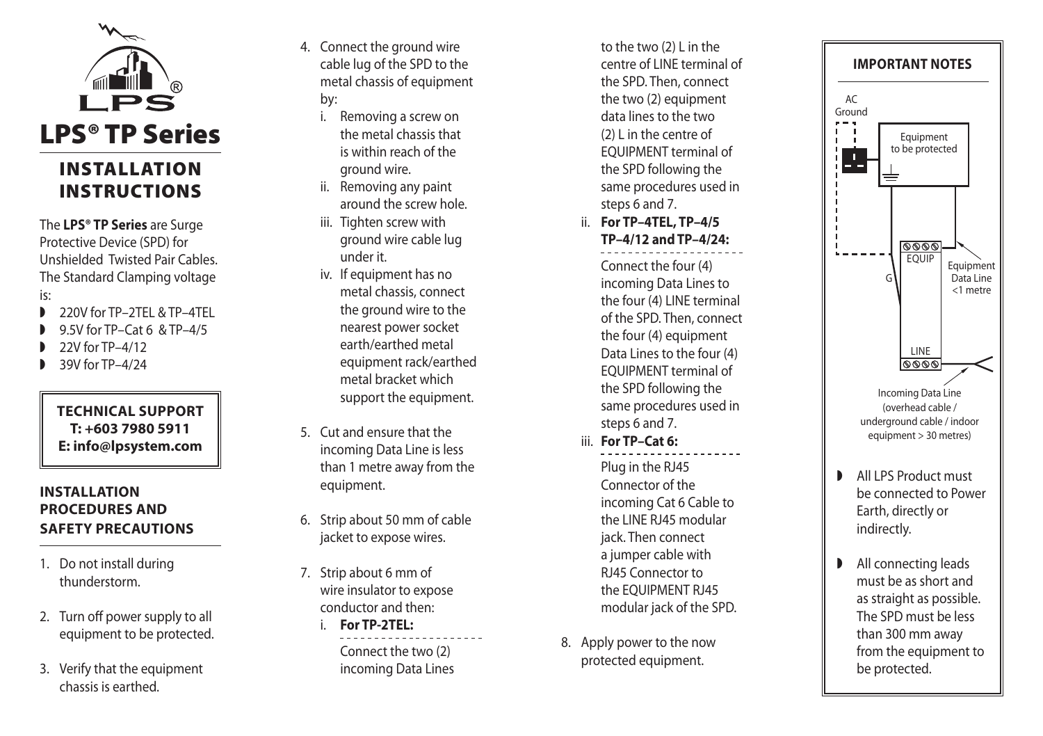

The **LPS® TP Series** are Surge Protective Device (SPD) for Unshielded Twisted Pair Cables. The Standard Clamping voltage is:

- 220V for TP–2TFL & TP–4TFL
- w 9.5V for TP–Cat 6 & TP–4/5
- 22V for TP–4/12
- 39V for TP–4/24

#### **Technica l s uppor t T: +603 7980 5911 E: info@lpsystem.com**

## **i**NSTALLATION **procedure s and SAFETY PRECAUTIONS**

- 1. Do not install during thunderstorm.
- 2. Turn off power supply to all equipment to be protected.
- 3. Verify that the equipment chassis is earthed.
- 4. Connect the ground wire cable lug of the SPD to the metal chassis of equipment by:
	- i. Removing a screw on the metal chassis that is within reach of the ground wire.
	- ii. Removing any paint around the screw hole.
	- iii. Tighten screw with ground wire cable lug under it.
	- iv. If equipment has no metal chassis, connect the ground wire to the nearest power socket earth/earthed metal equipment rack/earthed metal bracket which support the equipment.
- 5. Cut and ensure that the incoming Data Line is less than 1 metre away from the equipment.
- 6. Strip about 50 mm of cable jacket to expose wires.
- 7. Strip about 6 mm of wire insulator to expose conductor and then:
	- i. **For TP-2T EL:** Connect the two (2) incoming Data Lines

to the two (2) L in the centre of LINE terminal of the SPD. Then, connect the two (2) equipment data lines to the two (2) L in the centre of EQUIPMENT terminal of the SPD following the same procedures used in steps 6 and 7.

ii. **For TP–4T EL, TP–4/5 TP–4/12 and TP–4/24:**

> Connect the four (4) incoming Data Lines to the four (4) LINE terminal of the SPD. Then, connect the four (4) equipment Data Lines to the four (4) EQUIPMENT terminal of the SPD following the same procedures used in steps 6 and 7.

- iii. **For TP– Cat 6:** Plug in the RJ45 Connector of the incoming Cat 6 Cable to the LINE RJ45 modular jack. Then connect a jumper cable with RJ45 Connector to the EQUIPMENT RJ45 modular jack of the SPD.
- 8. Apply power to the now protected equipment.